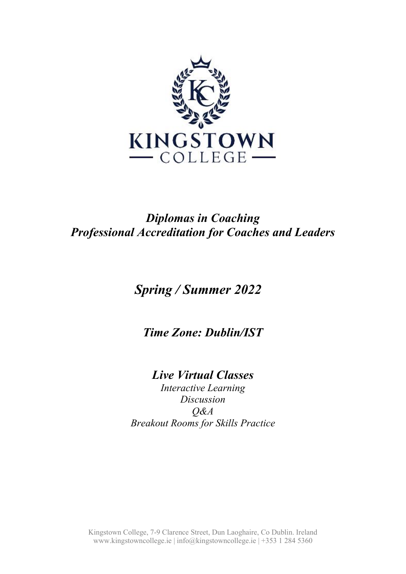

### *Diplomas in Coaching Professional Accreditation for Coaches and Leaders*

# *Spring / Summer 2022*

*Time Zone: Dublin/IST*

## *Live Virtual Classes*

*Interactive Learning Discussion Q&A Breakout Rooms for Skills Practice*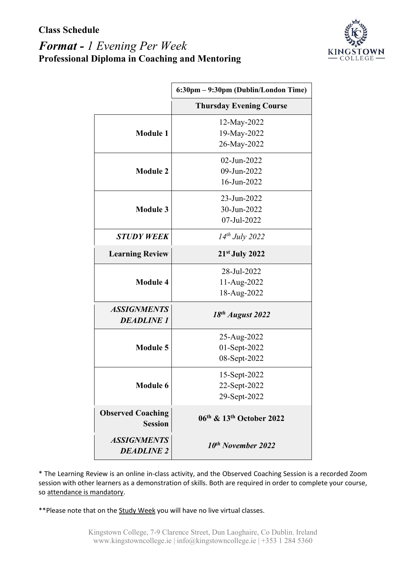### *Format - 1 Evening Per Week* **Professional Diploma in Coaching and Mentoring**



|                                            | 6:30pm - 9:30pm (Dublin/London Time) |
|--------------------------------------------|--------------------------------------|
|                                            | <b>Thursday Evening Course</b>       |
|                                            | 12-May-2022                          |
| <b>Module 1</b>                            | 19-May-2022                          |
|                                            | 26-May-2022                          |
|                                            | 02-Jun-2022                          |
| <b>Module 2</b>                            | 09-Jun-2022                          |
|                                            | 16-Jun-2022                          |
|                                            | 23-Jun-2022                          |
| <b>Module 3</b>                            | 30-Jun-2022                          |
|                                            | 07-Jul-2022                          |
| <b>STUDY WEEK</b>                          | $14^{th}$ July 2022                  |
| <b>Learning Review</b>                     | $21st$ July 2022                     |
|                                            | 28-Jul-2022                          |
| <b>Module 4</b>                            | 11-Aug-2022                          |
|                                            | 18-Aug-2022                          |
| <b>ASSIGNMENTS</b>                         | $18th$ August 2022                   |
| <b>DEADLINE 1</b>                          |                                      |
|                                            | 25-Aug-2022                          |
| <b>Module 5</b>                            | 01-Sept-2022                         |
|                                            | 08-Sept-2022                         |
|                                            | 15-Sept-2022                         |
| <b>Module 6</b>                            | 22-Sept-2022                         |
|                                            | 29-Sept-2022                         |
| <b>Observed Coaching</b><br><b>Session</b> | 06th & 13th October 2022             |
| <b>ASSIGNMENTS</b><br><b>DEADLINE 2</b>    | $10^{th}$ November 2022              |

\* The Learning Review is an online in-class activity, and the Observed Coaching Session is a recorded Zoom session with other learners as a demonstration of skills. Both are required in order to complete your course, so attendance is mandatory.

\*\*Please note that on the Study Week you will have no live virtual classes.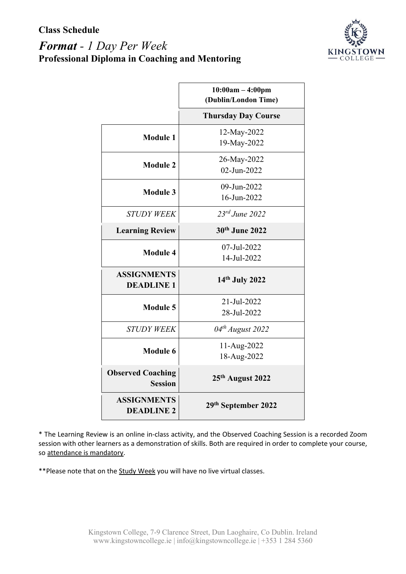### *Format - 1 Day Per Week* **Professional Diploma in Coaching and Mentoring**



|                                            | $10:00am - 4:00pm$<br>(Dublin/London Time) |
|--------------------------------------------|--------------------------------------------|
|                                            | <b>Thursday Day Course</b>                 |
| <b>Module 1</b>                            | 12-May-2022                                |
|                                            | 19-May-2022                                |
| <b>Module 2</b>                            | 26-May-2022                                |
|                                            | 02-Jun-2022                                |
| <b>Module 3</b>                            | 09-Jun-2022                                |
|                                            | 16-Jun-2022                                |
| <b>STUDY WEEK</b>                          | $23^{rd}$ June $2022$                      |
| <b>Learning Review</b>                     | 30th June 2022                             |
|                                            | 07-Jul-2022                                |
| <b>Module 4</b>                            | 14-Jul-2022                                |
| <b>ASSIGNMENTS</b>                         | 14th July 2022                             |
| <b>DEADLINE 1</b>                          |                                            |
| <b>Module 5</b>                            | 21-Jul-2022                                |
|                                            | 28-Jul-2022                                |
| <b>STUDY WEEK</b>                          | $04^{th}$ August 2022                      |
| <b>Module 6</b>                            | 11-Aug-2022                                |
|                                            | 18-Aug-2022                                |
| <b>Observed Coaching</b><br><b>Session</b> | 25th August 2022                           |
| <b>ASSIGNMENTS</b><br><b>DEADLINE 2</b>    | 29th September 2022                        |

\* The Learning Review is an online in-class activity, and the Observed Coaching Session is a recorded Zoom session with other learners as a demonstration of skills. Both are required in order to complete your course, so attendance is mandatory.

\*\*Please note that on the Study Week you will have no live virtual classes.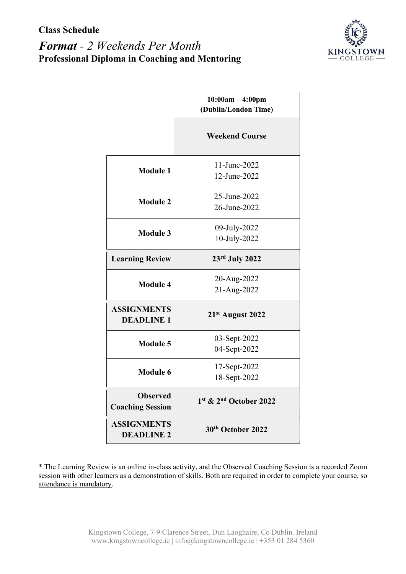

|                                            | $10:00am - 4:00pm$<br>(Dublin/London Time) |
|--------------------------------------------|--------------------------------------------|
|                                            | <b>Weekend Course</b>                      |
| <b>Module 1</b>                            | 11-June-2022<br>12-June-2022               |
| <b>Module 2</b>                            | 25-June-2022<br>26-June-2022               |
| <b>Module 3</b>                            | 09-July-2022<br>10-July-2022               |
| <b>Learning Review</b>                     | $23rd$ July 2022                           |
| <b>Module 4</b>                            | 20-Aug-2022<br>21-Aug-2022                 |
| <b>ASSIGNMENTS</b><br><b>DEADLINE 1</b>    | 21st August 2022                           |
| <b>Module 5</b>                            | 03-Sept-2022<br>04-Sept-2022               |
| <b>Module 6</b>                            | 17-Sept-2022<br>18-Sept-2022               |
| <b>Observed</b><br><b>Coaching Session</b> | 1st & 2nd October 2022                     |
| <b>ASSIGNMENTS</b><br><b>DEADLINE 2</b>    | 30th October 2022                          |

\* The Learning Review is an online in-class activity, and the Observed Coaching Session is a recorded Zoom session with other learners as a demonstration of skills. Both are required in order to complete your course, so attendance is mandatory.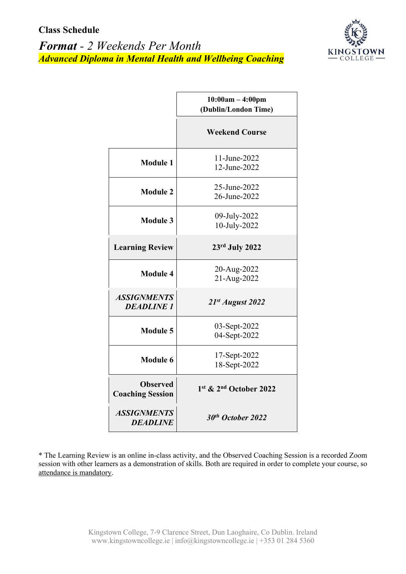



|                                            | $10:00am - 4:00pm$<br>(Dublin/London Time) |
|--------------------------------------------|--------------------------------------------|
|                                            | <b>Weekend Course</b>                      |
| <b>Module 1</b>                            | 11-June-2022<br>12-June-2022               |
| <b>Module 2</b>                            | 25-June-2022<br>26-June-2022               |
| <b>Module 3</b>                            | 09-July-2022<br>10-July-2022               |
| <b>Learning Review</b>                     | $23rd$ July 2022                           |
| <b>Module 4</b>                            | 20-Aug-2022<br>21-Aug-2022                 |
| <b>ASSIGNMENTS</b><br><b>DEADLINE 1</b>    | 21st August 2022                           |
| <b>Module 5</b>                            | 03-Sept-2022<br>04-Sept-2022               |
| Module 6                                   | 17-Sept-2022<br>18-Sept-2022               |
| <b>Observed</b><br><b>Coaching Session</b> | $1st$ & $2nd$ October 2022                 |
| <b>ASSIGNMENTS</b><br><b>DEADLINE</b>      | 30th October 2022                          |

\* The Learning Review is an online in-class activity, and the Observed Coaching Session is a recorded Zoom session with other learners as a demonstration of skills. Both are required in order to complete your course, so attendance is mandatory.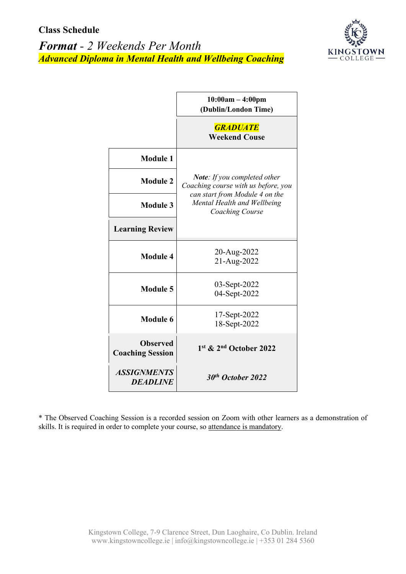



|                                            | $10:00am - 4:00pm$<br>(Dublin/London Time)                                                                                                                            |
|--------------------------------------------|-----------------------------------------------------------------------------------------------------------------------------------------------------------------------|
|                                            | <b>GRADUATE</b><br><b>Weekend Couse</b>                                                                                                                               |
| <b>Module 1</b>                            | <b>Note:</b> If you completed other<br>Coaching course with us before, you<br>can start from Module 4 on the<br>Mental Health and Wellbeing<br><b>Coaching Course</b> |
| <b>Module 2</b>                            |                                                                                                                                                                       |
| <b>Module 3</b>                            |                                                                                                                                                                       |
| <b>Learning Review</b>                     |                                                                                                                                                                       |
| <b>Module 4</b>                            | 20-Aug-2022<br>21-Aug-2022                                                                                                                                            |
| Module 5                                   | 03-Sept-2022<br>04-Sept-2022                                                                                                                                          |
| Module 6                                   | 17-Sept-2022<br>18-Sept-2022                                                                                                                                          |
| <b>Observed</b><br><b>Coaching Session</b> | 1st & 2nd October 2022                                                                                                                                                |
| <b>ASSIGNMENTS</b><br><b>DEADLINE</b>      | 30th October 2022                                                                                                                                                     |

\* The Observed Coaching Session is a recorded session on Zoom with other learners as a demonstration of skills. It is required in order to complete your course, so attendance is mandatory.